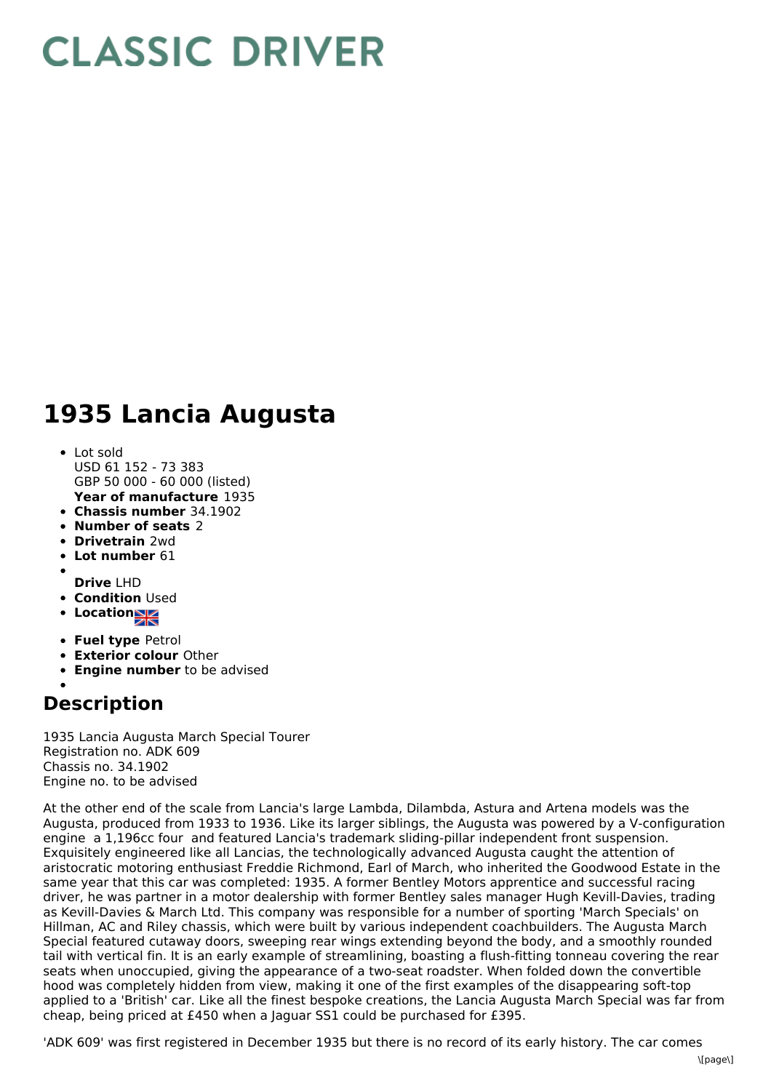## **CLASSIC DRIVER**

## **1935 Lancia Augusta**

- **Year of manufacture** 1935 Lot sold USD 61 152 - 73 383 GBP 50 000 - 60 000 (listed)
- **Chassis number** 34.1902
- **Number of seats** 2
- **Drivetrain** 2wd
- **Lot number** 61
- 
- **Drive** LHD
- **Condition Used**
- **Locations**
- **Fuel type** Petrol
- **Exterior colour** Other
- **Engine number** to be advised

## **Description**

1935 Lancia Augusta March Special Tourer Registration no. ADK 609 Chassis no. 34.1902 Engine no. to be advised

At the other end of the scale from Lancia's large Lambda, Dilambda, Astura and Artena models was the Augusta, produced from 1933 to 1936. Like its larger siblings, the Augusta was powered by a V-configuration engine a 1,196cc four and featured Lancia's trademark sliding-pillar independent front suspension. Exquisitely engineered like all Lancias, the technologically advanced Augusta caught the attention of aristocratic motoring enthusiast Freddie Richmond, Earl of March, who inherited the Goodwood Estate in the same year that this car was completed: 1935. A former Bentley Motors apprentice and successful racing driver, he was partner in a motor dealership with former Bentley sales manager Hugh Kevill-Davies, trading as Kevill-Davies & March Ltd. This company was responsible for a number of sporting 'March Specials' on Hillman, AC and Riley chassis, which were built by various independent coachbuilders. The Augusta March Special featured cutaway doors, sweeping rear wings extending beyond the body, and a smoothly rounded tail with vertical fin. It is an early example of streamlining, boasting a flush-fitting tonneau covering the rear seats when unoccupied, giving the appearance of a two-seat roadster. When folded down the convertible hood was completely hidden from view, making it one of the first examples of the disappearing soft-top applied to a 'British' car. Like all the finest bespoke creations, the Lancia Augusta March Special was far from cheap, being priced at £450 when a Jaguar SS1 could be purchased for £395.

'ADK 609' was first registered in December 1935 but there is no record of its early history. The car comes